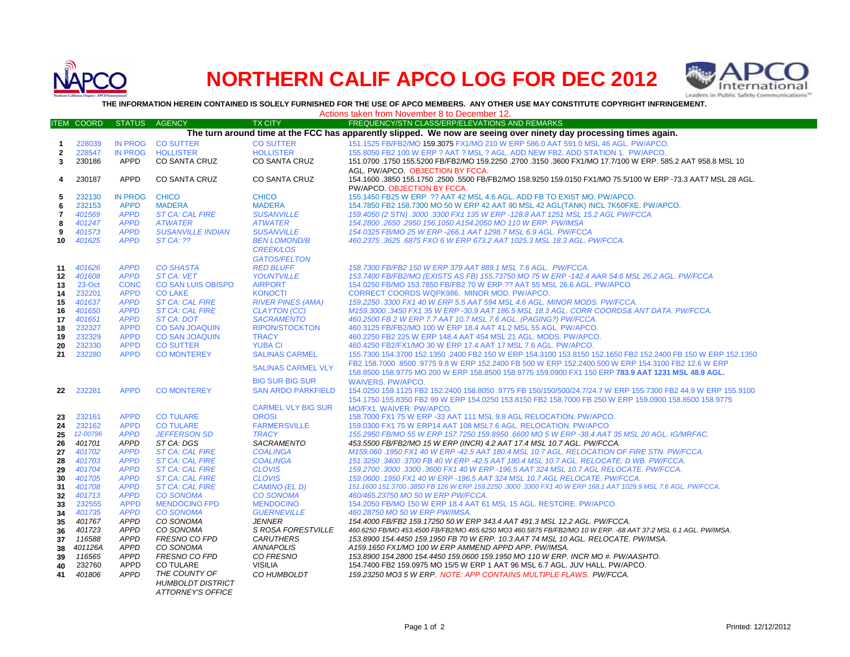

## **NORTHERN CALIF APCO LOG FOR DEC 2012**



**THE INFORMATION HEREIN CONTAINED IS SOLELY FURNISHED FOR THE USE OF APCO MEMBERS. ANY OTHER USE MAY CONSTITUTE COPYRIGHT INFRINGEMENT.**

|                                                                                                                   | Actions taken from November 8 to December 12. |                            |                                          |                                            |                                                                                                                                                |
|-------------------------------------------------------------------------------------------------------------------|-----------------------------------------------|----------------------------|------------------------------------------|--------------------------------------------|------------------------------------------------------------------------------------------------------------------------------------------------|
|                                                                                                                   | <b>ITEM COORD</b>                             | <b>STATUS</b>              | <b>AGENCY</b>                            | <b>TX CITY</b>                             | FREQUENCY/STN CLASS/ERP/ELEVATIONS AND REMARKS                                                                                                 |
| The turn around time at the FCC has apparently slipped. We now are seeing over ninety day processing times again. |                                               |                            |                                          |                                            |                                                                                                                                                |
| $\mathbf{1}$                                                                                                      | 228039                                        | <b>IN PROG</b>             | <b>CO SUTTER</b>                         | <b>CO SUTTER</b>                           | 151.1525 FB/FB2/MO 159.3075 FX1/MO 210 W ERP 586.0 AAT 591.0 MSL 46 AGL, PW/APCO.                                                              |
| $\overline{2}$                                                                                                    | 228547                                        | <b>IN PROG</b>             | <b>HOLLISTER</b>                         | <b>HOLLISTER</b>                           | 155,8050 FB2 100 W ERP ? AAT ? MSL ? AGL, ADD NEW FB2, ADD STATION 1, PW/APCO,                                                                 |
| 3                                                                                                                 | 230186                                        | APPD                       | <b>CO SANTA CRUZ</b>                     | CO SANTA CRUZ                              | 151.0700 .1750 155.5200 FB/FB2/MO 159.2250 .2700 .3150 .3600 FX1/MO 17.7/100 W ERP. 585.2 AAT 958.8 MSL 10                                     |
|                                                                                                                   |                                               |                            |                                          |                                            | AGL. PW/APCO. OBJECTION BY FCCA.                                                                                                               |
| 4                                                                                                                 | 230187                                        | <b>APPD</b>                | <b>CO SANTA CRUZ</b>                     | CO SANTA CRUZ                              | 154.1600 .3850 155.1750 .2500 .5500 FB/FB2/MO 158.9250 159.0150 FX1/MO 75.5/100 W ERP -73.3 AAT7 MSL 28 AGL.                                   |
|                                                                                                                   |                                               |                            |                                          |                                            | PW/APCO, OBJECTION BY FCCA.                                                                                                                    |
| 5                                                                                                                 | 232130                                        | <b>IN PROG</b>             | <b>CHICO</b>                             | <b>CHICO</b>                               | 155.1450 FB25 W ERP ?? AAT 42 MSL 4.6 AGL. ADD FB TO EXIST MO. PW/APCO.                                                                        |
| 6                                                                                                                 | 232153                                        | <b>APPD</b>                | <b>MADERA</b>                            | <b>MADERA</b>                              | 154.7850 FB2 158.7300 MO 50 W ERP 42 AAT 90 MSL 42 AGL(TANK) INCL 7K60FXE. PW/APCO.                                                            |
|                                                                                                                   |                                               |                            |                                          |                                            |                                                                                                                                                |
| 7                                                                                                                 | 401569<br>401247                              | <b>APPD</b><br><b>APPD</b> | <b>ST CA: CAL FIRE</b><br><b>ATWATER</b> | <b>SUSANVILLE</b><br><b>ATWATER</b>        | 159.4050 (2 STN) .3000 .3300 FX1 135 W ERP -128.8 AAT 1251 MSL 15.2 AGL PW/FCCA<br>154.2800.2650.2950 156.1050 A154.2050 MO 110 W ERP. PW/IMSA |
| 8                                                                                                                 | 401573                                        | <b>APPD</b>                | <b>SUSANVILLE INDIAN</b>                 | <b>SUSANVILLE</b>                          | 154.0325 FB/MO 25 W ERP -266.1 AAT 1298.7 MSL 6.9 AGL. PW/FCCA                                                                                 |
| 9<br>10                                                                                                           | 401625                                        | <b>APPD</b>                | <b>ST CA: ??</b>                         | <b>BEN LOMOND/B</b>                        | 460.2375.3625.6875 FXO 6 W ERP 673.2 AAT 1025.3 MSL 18.3 AGL. PW/FCCA.                                                                         |
|                                                                                                                   |                                               |                            |                                          |                                            |                                                                                                                                                |
|                                                                                                                   |                                               |                            |                                          | <b>CREEK/LOS</b>                           |                                                                                                                                                |
|                                                                                                                   |                                               |                            |                                          | <b>GATOS/FELTON</b>                        |                                                                                                                                                |
| 11                                                                                                                | 401626                                        | <b>APPD</b>                | <b>CO SHASTA</b>                         | <b>RED BLUFF</b>                           | 158.7300 FB/FB2 150 W ERP 379 AAT 889.1 MSL 7.6 AGL. PW/FCCA.                                                                                  |
| $12 \,$                                                                                                           | 401608                                        | <b>APPD</b>                | <b>ST CA: VET</b>                        | <b>YOUNTVILLE</b>                          | 153.7400 FB/FB2/MO (EXISTS AS FB) 155.73750 MO 75 W ERP -142.4 AAR 54.6 MSL 26.2 AGL. PW/FCCA                                                  |
| 13                                                                                                                | 23-Oct                                        | <b>CONC</b>                | <b>CO SAN LUIS OBISPO</b>                | <b>AIRPORT</b>                             | 154,0250 FB/MO 153,7850 FB/FB2 70 W ERP ?? AAT 55 MSL 26.6 AGL, PW/APCO                                                                        |
| 14                                                                                                                | 232201                                        | <b>APPD</b>                | <b>CO LAKE</b>                           | <b>KONOCTI</b>                             | CORRECT COORDS WQPK986. MINOR MOD. PW/APCO.                                                                                                    |
| 15                                                                                                                | 401637                                        | <b>APPD</b>                | <b>ST CA: CAL FIRE</b>                   | <b>RIVER PINES (AMA)</b>                   | 159.2250.3300 FX1 40 W ERP 5.5 AAT 594 MSL 4.6 AGL. MINOR MODS. PW/FCCA.                                                                       |
| 16                                                                                                                | 401650                                        | <b>APPD</b><br><b>APPD</b> | <b>ST CA: CAL FIRE</b>                   | <b>CLAYTON (CC)</b>                        | M159.3000 .3450 FX1 35 W ERP -30.9 AAT 186.5 MSL 18.3 AGL. CORR COORDS& ANT DATA. PW/FCCA.                                                     |
| 17                                                                                                                | 401651                                        | <b>APPD</b>                | ST CA: DOT                               | <b>SACRAMENTO</b><br><b>RIPON/STOCKTON</b> | 460.2500 FB 2 W ERP 7.7 AAT 10.7 MSL 7.6 AGL. (PAGING?) PW/FCCA.                                                                               |
| 18                                                                                                                | 232327                                        |                            | <b>CO SAN JOAQUIN</b>                    |                                            | 460.3125 FB/FB2/MO 100 W ERP 18.4 AAT 41.2 MSL 55 AGL. PW/APCO.                                                                                |
| 19                                                                                                                | 232329                                        | <b>APPD</b>                | <b>CO SAN JOAQUIN</b>                    | <b>TRACY</b>                               | 460.2250 FB2 225 W ERP 148.4 AAT 454 MSL 21 AGL. MODS. PW/APCO.                                                                                |
| 20                                                                                                                | 232330                                        | <b>APPD</b>                | <b>CO SUTTER</b>                         | <b>YUBA CI</b>                             | 460.4250 FB2/FX1/MO 30 W ERP 17.4 AAT 17 MSL 7.6 AGL. PW/APCO.                                                                                 |
| 21                                                                                                                | 232280                                        | <b>APPD</b>                | <b>CO MONTEREY</b>                       | <b>SALINAS CARMEL</b>                      | 155.7300 154.3700 152.1350 .2400 FB2 150 W ERP 154.3100 153.8150 152.1650 FB2 152.2400 FB 150 W ERP 152.1350                                   |
|                                                                                                                   |                                               |                            |                                          | <b>SALINAS CARMEL VLY</b>                  | FB2 158.7000 .8500 .9775 9.8 W ERP 152.2400 FB 500 W ERP 152.2400 500 W ERP 154.3100 FB2 12.6 W ERP                                            |
|                                                                                                                   |                                               |                            |                                          |                                            | 158.8500 158.9775 MO 200 W ERP 158.8500 158.9775 159.0900 FX1 150 ERP 783.9 AAT 1231 MSL 48.9 AGL.                                             |
|                                                                                                                   |                                               |                            |                                          | <b>BIG SUR BIG SUR</b>                     | <b>WAIVERS, PW/APCO.</b>                                                                                                                       |
| 22                                                                                                                | 232281                                        | <b>APPD</b>                | <b>CO MONTEREY</b>                       | <b>SAN ARDO PARKFIELD</b>                  | 154,0250 159,1125 FB2 152,2400 158,8050 .9775 FB 150/150/500/24,7/24,7 W ERP 155,7300 FB2 44.9 W ERP 155,9100                                  |
|                                                                                                                   |                                               |                            |                                          |                                            | 154.1750 155.8350 FB2 99 W ERP 154.0250 153.8150 FB2 158.7000 FB 250 W ERP 159.0900 158.8500 158.9775                                          |
|                                                                                                                   |                                               |                            |                                          | <b>CARMEL VLY BIG SUR</b>                  | MO/FX1. WAIVER. PW/APCO.                                                                                                                       |
| 23                                                                                                                | 232161                                        | <b>APPD</b>                | <b>CO TULARE</b>                         | <b>OROSI</b>                               | 158.7000 FX1 75 W ERP -33 AAT 111 MSL 9.8 AGL RELOCATION. PW/APCO.                                                                             |
| 24                                                                                                                | 232162                                        | <b>APPD</b>                | <b>CO TULARE</b>                         | <b>FARMERSVILLE</b>                        | 159.0300 FX1 75 W ERP14 AAT 108 MSL7.6 AGL. RELOCATION. PW/APCO                                                                                |
| 25                                                                                                                | 12-00796                                      | <b>APPD</b>                | <b>JEFFERSON SD</b>                      | <b>TRACY</b>                               | 155.2950 FB/MO 55 W ERP 157.7250 159.8950 .6600 MO 5 W ERP -38.4 AAT 35 MSL 20 AGL. IG/MRFAC.                                                  |
| 26                                                                                                                | 401701                                        | <b>APPD</b>                | ST CA: DGS                               | <b>SACRAMENTO</b>                          | 453.5500 FB/FB2/MO 15 W ERP (INCR) 4.2 AAT 17.4 MSL 10.7 AGL. PW/FCCA.                                                                         |
| 27                                                                                                                | 401702                                        | <b>APPD</b>                | <b>ST CA: CAL FIRE</b>                   | <b>COALINGA</b>                            | M159.060 .1950 FX1 40 W ERP -42.5 AAT 180.4 MSL 10.7 AGL. RELOCATION OF FIRE STN. PW/FCCA.                                                     |
| 28                                                                                                                | 401703                                        | <b>APPD</b>                | <b>ST CA: CAL FIRE</b>                   | <b>COALINGA</b>                            | 151.3250 .3400 .3700 FB 40 W ERP -42.5 AAT 180.4 MSL 10.7 AGL. RELOCATE, D WB. PW/FCCA.                                                        |
| 29                                                                                                                | 401704                                        | <b>APPD</b>                | <b>ST CA: CAL FIRE</b>                   | <b>CLOVIS</b>                              | 159.2700.3000.3300.3600 FX1 40 W ERP -196.5 AAT 324 MSL 10.7 AGL RELOCATE. PW/FCCA.                                                            |
| 30                                                                                                                | 401705                                        | <b>APPD</b>                | <b>ST CA: CAL FIRE</b>                   | <b>CLOVIS</b>                              | 159.0600 .1950 FX1 40 W ERP -196.5 AAT 324 MSL 10.7 AGL RELOCATE. PW/FCCA.                                                                     |
| 31                                                                                                                | 401708                                        | <b>APPD</b>                | <b>ST CA: CAL FIRE</b>                   | CAMINO (EL D)                              | 151.1600 151.3700 .3850 FB 126 W ERP 159.2250 .3000 .3300 FX1 40 W ERP 168.1 AAT 1029.9 MSL 7.6 AGL. PW/FCCA.                                  |
| 32                                                                                                                | 401713                                        | <b>APPD</b>                | <b>CO SONOMA</b>                         | <b>CO SONOMA</b>                           | 460/465.23750 MO 50 W ERP PW/FCCA.                                                                                                             |
| 33                                                                                                                | 232555                                        | <b>APPD</b>                | <b>MENDOCINO FPD</b>                     | <b>MENDOCINO</b>                           | 154.2050 FB/MO 150 W ERP 18.4 AAT 61 MSL 15 AGL. RESTORE. PW/APCO.                                                                             |
| 34                                                                                                                | 401735                                        | <b>APPD</b>                | <b>CO SONOMA</b>                         | <b>GUERNEVILLE</b>                         | 460.28750 MO 50 W ERP PW/IMSA.                                                                                                                 |
| 35                                                                                                                | 401767                                        | <b>APPD</b>                | CO SONOMA                                | <b>JENNER</b>                              | 154.4000 FB/FB2 159.17250 50 W ERP 343.4 AAT 491.3 MSL 12.2 AGL. PW/FCCA.                                                                      |
| 36                                                                                                                | 401723                                        | <b>APPD</b>                | CO SONOMA                                | <b>S ROSA FORESTVILLE</b>                  | 460.6250 FB/MO 453.4500 FB/FB2/MO 465.6250 MO3 460.5875 FB/FB2/MO 10 W ERP. -68 AAT 37.2 MSL 6.1 AGL. PW/IMSA.                                 |
| 37                                                                                                                | 116588                                        | <b>APPD</b>                | <b>FRESNO CO FPD</b>                     | <b>CARUTHERS</b>                           | 153.8900 154.4450 159.1950 FB 70 W ERP. 10.3 AAT 74 MSL 10 AGL. RELOCATE. PW/IMSA.                                                             |
| 38                                                                                                                | 401126A                                       | <b>APPD</b>                | CO SONOMA                                | <b>ANNAPOLIS</b>                           | A159.1650 FX1/MO 100 W ERP AMMEND APPD APP. PW/IMSA.                                                                                           |
| 39                                                                                                                | 116565                                        | <b>APPD</b>                | FRESNO CO FPD                            | CO FRESNO                                  | 153.8900 154.2800 154.4450 159.0600 159.1950 MO 110 W ERP. INCR MO #. PW/AASHTO.                                                               |
| 40                                                                                                                | 232760                                        | APPD                       | <b>CO TULARE</b>                         | <b>VISILIA</b>                             | 154.7400 FB2 159.0975 MO 15/5 W ERP 1 AAT 96 MSL 6.7 AGL. JUV HALL. PW/APCO.                                                                   |
| 41                                                                                                                | 401806                                        | <b>APPD</b>                | THE COUNTY OF                            | CO HUMBOLDT                                | 159.23250 MO3 5 W ERP. NOTE: APP CONTAINS MULTIPLE FLAWS. PW/FCCA.                                                                             |
|                                                                                                                   |                                               |                            | <b>HUMBOLDT DISTRICT</b>                 |                                            |                                                                                                                                                |
|                                                                                                                   |                                               |                            | <b>ATTORNEY'S OFFICE</b>                 |                                            |                                                                                                                                                |